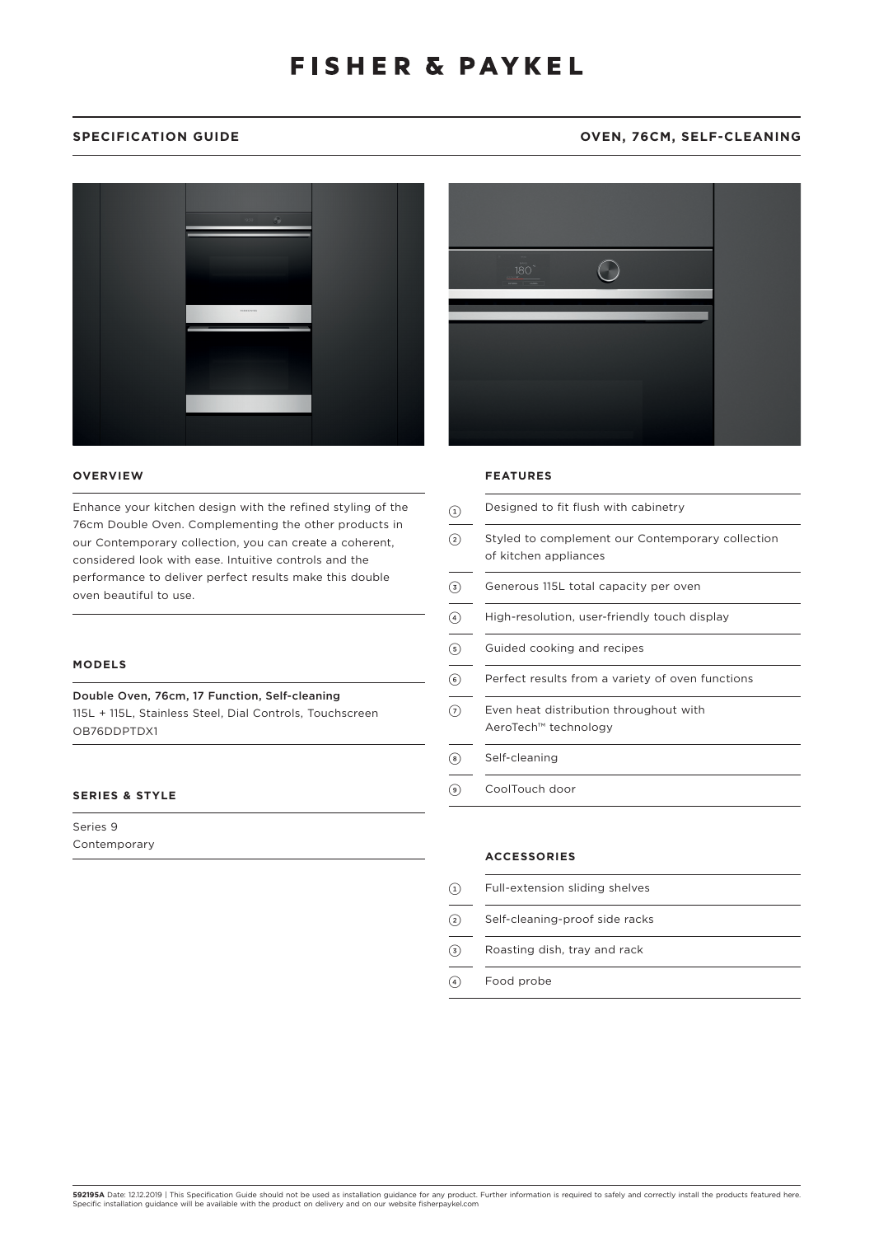## SPECIFICATION GUIDE **OVEN, 76CM, SELF-CLEANING**



### **OVERVIEW**

Enhance your kitchen design with the refined styling of the 76cm Double Oven. Complementing the other products in our Contemporary collection, you can create a coherent, considered look with ease. Intuitive controls and the performance to deliver perfect results make this double oven beautiful to use.

### **MODELS**

Double Oven, 76cm, 17 Function, Self-cleaning 115L + 115L, Stainless Steel, Dial Controls, Touchscreen OB76DDPTDX1

## **SERIES & STYLE**

Series 9 Contemporary



#### **FEATURES**

| (1)            | Designed to fit flush with cabinetry                                      |
|----------------|---------------------------------------------------------------------------|
| (2)            | Styled to complement our Contemporary collection<br>of kitchen appliances |
| (3)            | Generous 115L total capacity per oven                                     |
| (4)            | High-resolution, user-friendly touch display                              |
| (5)            | Guided cooking and recipes                                                |
| $\circ$        | Perfect results from a variety of oven functions                          |
| (7)            | Even heat distribution throughout with<br>AeroTech™ technology            |
| $(\mathbf{s})$ | Self-cleaning                                                             |
| ( ၁ )          | CoolTouch door                                                            |

#### **ACCESSORIES**

- 1 Full-extension sliding shelves
- 2 Self-cleaning-proof side racks
- 3 Roasting dish, tray and rack
- 4 Food probe